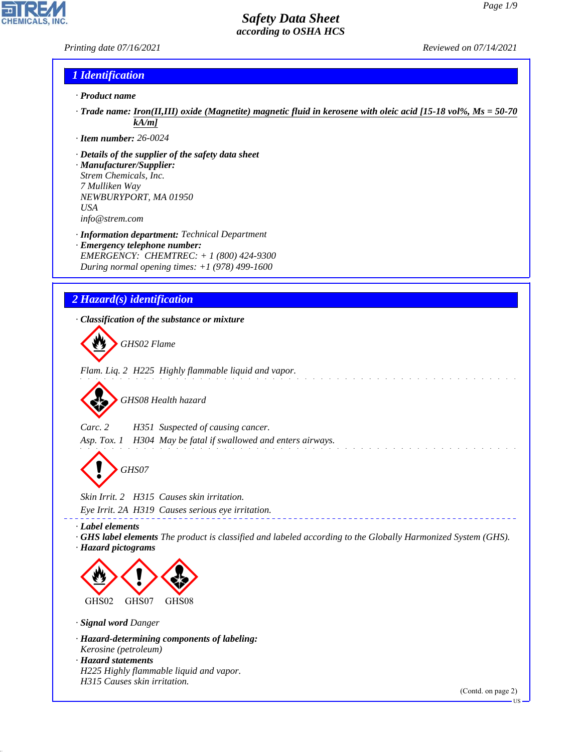*Printing date 07/16/2021 Reviewed on 07/14/2021*

**CHEMICALS** 

#### *1 Identification*

- *· Product name*
- *· Trade name: Iron(II,III) oxide (Magnetite) magnetic fluid in kerosene with oleic acid [15-18 vol%, Ms = 50-70 kA/m]*
- *· Item number: 26-0024*
- *· Details of the supplier of the safety data sheet · Manufacturer/Supplier: Strem Chemicals, Inc.*
- *7 Mulliken Way NEWBURYPORT, MA 01950 USA info@strem.com*
- *· Information department: Technical Department · Emergency telephone number: EMERGENCY: CHEMTREC: + 1 (800) 424-9300 During normal opening times: +1 (978) 499-1600*
- *2 Hazard(s) identification*

*· Classification of the substance or mixture*



*Flam. Liq. 2 H225 Highly flammable liquid and vapor.*

d~*GHS08 Health hazard*

*Carc. 2 H351 Suspected of causing cancer.*

*Asp. Tox. 1 H304 May be fatal if swallowed and enters airways.*

d~*GHS07*

*Skin Irrit. 2 H315 Causes skin irritation. Eye Irrit. 2A H319 Causes serious eye irritation.*

*· Label elements*

*· GHS label elements The product is classified and labeled according to the Globally Harmonized System (GHS). · Hazard pictograms*



*· Signal word Danger*

44.1.1

- *· Hazard-determining components of labeling: Kerosine (petroleum) · Hazard statements*
- *H225 Highly flammable liquid and vapor. H315 Causes skin irritation.*

(Contd. on page 2)

**TIS**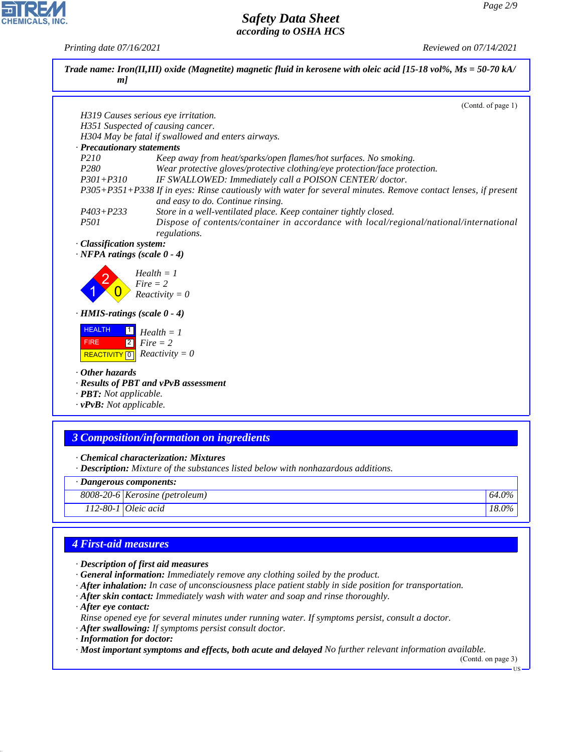*Printing date 07/16/2021 Reviewed on 07/14/2021*

| ml                                                                                                                                                                                                                                                               | Trade name: Iron(II,III) oxide (Magnetite) magnetic fluid in kerosene with oleic acid [15-18 vol%, $Ms = 50-70 kA$ /                               |                    |  |
|------------------------------------------------------------------------------------------------------------------------------------------------------------------------------------------------------------------------------------------------------------------|----------------------------------------------------------------------------------------------------------------------------------------------------|--------------------|--|
|                                                                                                                                                                                                                                                                  |                                                                                                                                                    | (Contd. of page 1) |  |
|                                                                                                                                                                                                                                                                  | H319 Causes serious eye irritation.                                                                                                                |                    |  |
|                                                                                                                                                                                                                                                                  | H351 Suspected of causing cancer.                                                                                                                  |                    |  |
|                                                                                                                                                                                                                                                                  | H304 May be fatal if swallowed and enters airways.                                                                                                 |                    |  |
| · Precautionary statements                                                                                                                                                                                                                                       |                                                                                                                                                    |                    |  |
| P210                                                                                                                                                                                                                                                             | Keep away from heat/sparks/open flames/hot surfaces. No smoking.                                                                                   |                    |  |
| P <sub>280</sub>                                                                                                                                                                                                                                                 | Wear protective gloves/protective clothing/eye protection/face protection.                                                                         |                    |  |
| $P301 + P310$                                                                                                                                                                                                                                                    | IF SWALLOWED: Immediately call a POISON CENTER/doctor.                                                                                             |                    |  |
|                                                                                                                                                                                                                                                                  | P305+P351+P338 If in eyes: Rinse cautiously with water for several minutes. Remove contact lenses, if present<br>and easy to do. Continue rinsing. |                    |  |
| $P403 + P233$                                                                                                                                                                                                                                                    | Store in a well-ventilated place. Keep container tightly closed.                                                                                   |                    |  |
| P <sub>501</sub>                                                                                                                                                                                                                                                 | Dispose of contents/container in accordance with local/regional/national/international<br>regulations.                                             |                    |  |
| $\cdot$ NFPA ratings (scale 0 - 4)<br>$\cdot$ HMIS-ratings (scale $0 - 4$ )<br><b>HEALTH</b><br>$\boxed{2}$<br><b>FIRE</b><br>$\overline{\mathsf{[0]}}$<br><b>REACTIVITY</b><br>$\cdot$ Other hazards<br>· PBT: Not applicable.<br>$\cdot$ vPvB: Not applicable. | $Health = 1$<br>$Fire = 2$<br>$Reactivity = 0$<br>$Health = 1$<br>$Fire = 2$<br>$Reactivity = 0$<br>· Results of PBT and vPvB assessment           |                    |  |
|                                                                                                                                                                                                                                                                  | <b>3 Composition/information on ingredients</b>                                                                                                    |                    |  |
|                                                                                                                                                                                                                                                                  | · Chemical characterization: Mixtures<br>· Description: Mixture of the substances listed below with nonhazardous additions.                        |                    |  |
| · Dangerous components:                                                                                                                                                                                                                                          |                                                                                                                                                    |                    |  |
|                                                                                                                                                                                                                                                                  |                                                                                                                                                    |                    |  |
|                                                                                                                                                                                                                                                                  | 8008-20-6 Kerosine (petroleum)                                                                                                                     | 64.0%              |  |

# *4 First-aid measures*

- *· Description of first aid measures*
- *· General information: Immediately remove any clothing soiled by the product.*
- *· After inhalation: In case of unconsciousness place patient stably in side position for transportation.*
- *· After skin contact: Immediately wash with water and soap and rinse thoroughly.*
- *· After eye contact:*

44.1.1

*Rinse opened eye for several minutes under running water. If symptoms persist, consult a doctor.*

- *· After swallowing: If symptoms persist consult doctor.*
- *· Information for doctor:*

*· Most important symptoms and effects, both acute and delayed No further relevant information available.*

(Contd. on page 3) US



**CHEMICALS, INC.**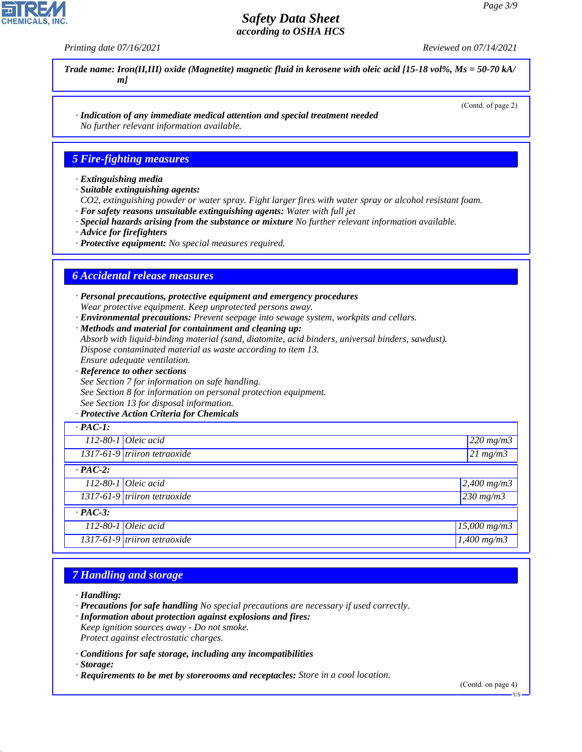*Printing date 07/16/2021 Reviewed on 07/14/2021*

(Contd. of page 2)

*Trade name: Iron(II,III) oxide (Magnetite) magnetic fluid in kerosene with oleic acid [15-18 vol%, Ms = 50-70 kA/ m]*

*· Indication of any immediate medical attention and special treatment needed No further relevant information available.*

#### *5 Fire-fighting measures*

#### *· Extinguishing media*

- *· Suitable extinguishing agents:*
- *CO2, extinguishing powder or water spray. Fight larger fires with water spray or alcohol resistant foam. · For safety reasons unsuitable extinguishing agents: Water with full jet*
- *· Special hazards arising from the substance or mixture No further relevant information available.*
- *· Advice for firefighters*
- *· Protective equipment: No special measures required.*

#### *6 Accidental release measures*

*· Personal precautions, protective equipment and emergency procedures Wear protective equipment. Keep unprotected persons away.*

- *· Environmental precautions: Prevent seepage into sewage system, workpits and cellars.*
- *· Methods and material for containment and cleaning up:*

*Absorb with liquid-binding material (sand, diatomite, acid binders, universal binders, sawdust). Dispose contaminated material as waste according to item 13.*

*Ensure adequate ventilation.*

- *· Reference to other sections*
- *See Section 7 for information on safe handling.*

*See Section 8 for information on personal protection equipment.*

*See Section 13 for disposal information.*

#### *· Protective Action Criteria for Chemicals*

| $\cdot$ PAC-1: |                                 |                             |  |  |
|----------------|---------------------------------|-----------------------------|--|--|
|                | $112 - 80 - 1$ Oleic acid       | $220$ mg/m3                 |  |  |
|                | $1317-61-9$ triiron tetraoxide  | $\sqrt{21 \text{ m} g/m^2}$ |  |  |
| $\cdot$ PAC-2: |                                 |                             |  |  |
|                | $112-80-1$ Oleic acid           | $2,400$ mg/m3               |  |  |
|                | $1317-61-9$ triiron tetraoxide  | $230$ mg/m3                 |  |  |
| $\cdot$ PAC-3: |                                 |                             |  |  |
|                | $112-80-1$ Oleic acid           | $15,000 \, mg/m3$           |  |  |
|                | $1317-61-9$ tritiron tetraoxide | $1,400$ mg/m3               |  |  |

#### *7 Handling and storage*

*· Handling:*

- *· Precautions for safe handling No special precautions are necessary if used correctly.*
- *· Information about protection against explosions and fires: Keep ignition sources away - Do not smoke.*

*Protect against electrostatic charges.*

*· Conditions for safe storage, including any incompatibilities*

*· Storage:*

44.1.1

*· Requirements to be met by storerooms and receptacles: Store in a cool location.*

(Contd. on page 4)

US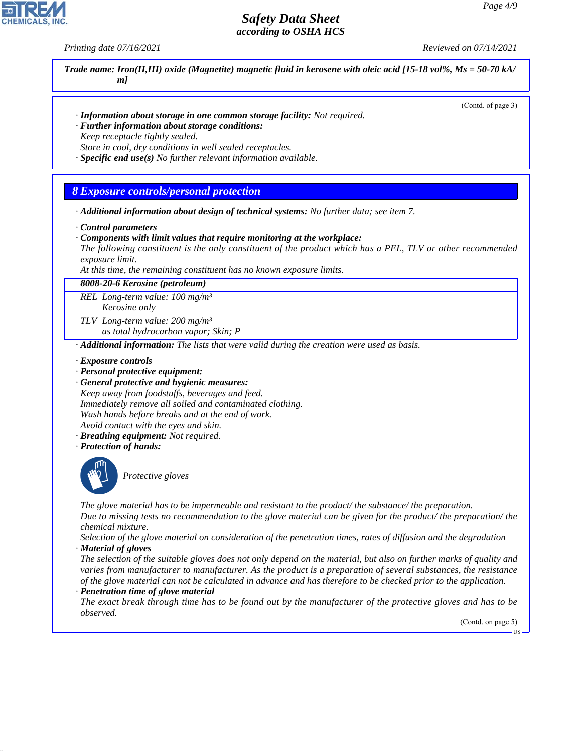

*Printing date 07/16/2021 Reviewed on 07/14/2021*



*Selection of the glove material on consideration of the penetration times, rates of diffusion and the degradation · Material of gloves*

*The selection of the suitable gloves does not only depend on the material, but also on further marks of quality and varies from manufacturer to manufacturer. As the product is a preparation of several substances, the resistance of the glove material can not be calculated in advance and has therefore to be checked prior to the application.*

#### *· Penetration time of glove material*

44.1.1

*The exact break through time has to be found out by the manufacturer of the protective gloves and has to be observed.*

(Contd. on page 5)

US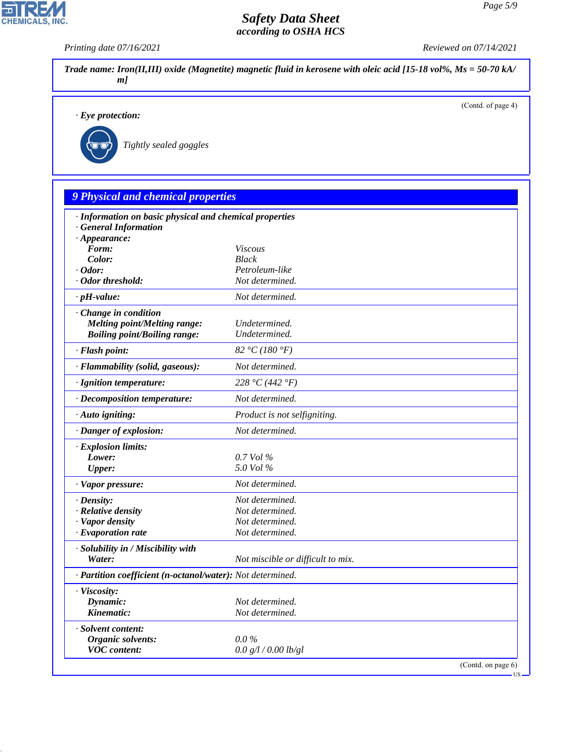*Printing date 07/16/2021 Reviewed on 07/14/2021*

| $\cdot$ Eye protection:                                    | (Contd. of page 4)                 |
|------------------------------------------------------------|------------------------------------|
|                                                            |                                    |
| Tightly sealed goggles                                     |                                    |
|                                                            |                                    |
|                                                            |                                    |
|                                                            |                                    |
| 9 Physical and chemical properties                         |                                    |
| · Information on basic physical and chemical properties    |                                    |
| · General Information                                      |                                    |
| $\cdot$ Appearance:                                        |                                    |
| Form:<br>Color:                                            | <b>Viscous</b><br><b>Black</b>     |
| $\cdot$ Odor:                                              | Petroleum-like                     |
| · Odor threshold:                                          | Not determined.                    |
| $\cdot$ pH-value:                                          | Not determined.                    |
| Change in condition                                        |                                    |
| <b>Melting point/Melting range:</b>                        | Undetermined.                      |
| <b>Boiling point/Boiling range:</b>                        | Undetermined.                      |
| · Flash point:                                             | 82 °C (180 °F)                     |
| · Flammability (solid, gaseous):                           | Not determined.                    |
| · Ignition temperature:                                    | 228 °C (442 °F)                    |
| · Decomposition temperature:                               | Not determined.                    |
| · Auto igniting:                                           | Product is not selfigniting.       |
| · Danger of explosion:                                     | Not determined.                    |
| · Explosion limits:                                        |                                    |
| Lower:                                                     | 0.7 Vol %                          |
| <b>Upper:</b>                                              | 5.0 Vol %                          |
| · Vapor pressure:                                          | Not determined.                    |
| $\cdot$ Density:                                           | Not determined.                    |
| · Relative density                                         | Not determined.                    |
| · Vapor density<br>· Evaporation rate                      | Not determined.<br>Not determined. |
|                                                            |                                    |
| · Solubility in / Miscibility with<br>Water:               | Not miscible or difficult to mix.  |
| · Partition coefficient (n-octanol/water): Not determined. |                                    |
|                                                            |                                    |
| · Viscosity:<br>Dynamic:                                   | Not determined.                    |
| Kinematic:                                                 | Not determined.                    |
| · Solvent content:                                         |                                    |
| <b>Organic solvents:</b>                                   | $0.0\%$                            |
| <b>VOC</b> content:                                        | 0.0 g/l / 0.00 lb/gl               |



44.1.1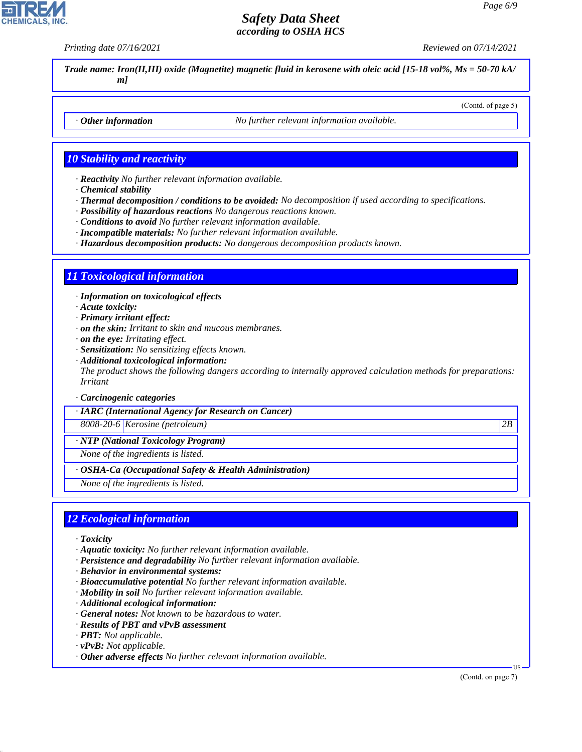*Printing date 07/16/2021 Reviewed on 07/14/2021*

(Contd. of page 5)

*Trade name: Iron(II,III) oxide (Magnetite) magnetic fluid in kerosene with oleic acid [15-18 vol%, Ms = 50-70 kA/ m]*

*· Other information No further relevant information available.*

#### *10 Stability and reactivity*

*· Reactivity No further relevant information available.*

- *· Chemical stability*
- *· Thermal decomposition / conditions to be avoided: No decomposition if used according to specifications.*
- *· Possibility of hazardous reactions No dangerous reactions known.*
- *· Conditions to avoid No further relevant information available.*
- *· Incompatible materials: No further relevant information available.*
- *· Hazardous decomposition products: No dangerous decomposition products known.*

#### *11 Toxicological information*

*· Information on toxicological effects*

- *· Acute toxicity:*
- *· Primary irritant effect:*
- *· on the skin: Irritant to skin and mucous membranes.*
- *· on the eye: Irritating effect.*
- *· Sensitization: No sensitizing effects known.*
- *· Additional toxicological information:*

*The product shows the following dangers according to internally approved calculation methods for preparations: Irritant*

*· Carcinogenic categories*

*· IARC (International Agency for Research on Cancer)*

*8008-20-6 Kerosine (petroleum) 2B*

*· NTP (National Toxicology Program)*

*None of the ingredients is listed.*

*· OSHA-Ca (Occupational Safety & Health Administration)*

*None of the ingredients is listed.*

#### *12 Ecological information*

*· Toxicity*

44.1.1

- *· Aquatic toxicity: No further relevant information available.*
- *· Persistence and degradability No further relevant information available.*
- *· Behavior in environmental systems:*
- *· Bioaccumulative potential No further relevant information available.*
- *· Mobility in soil No further relevant information available.*
- *· Additional ecological information:*
- *· General notes: Not known to be hazardous to water.*
- *· Results of PBT and vPvB assessment*
- *· PBT: Not applicable.*
- *· vPvB: Not applicable.*
- *· Other adverse effects No further relevant information available.*

(Contd. on page 7)

US

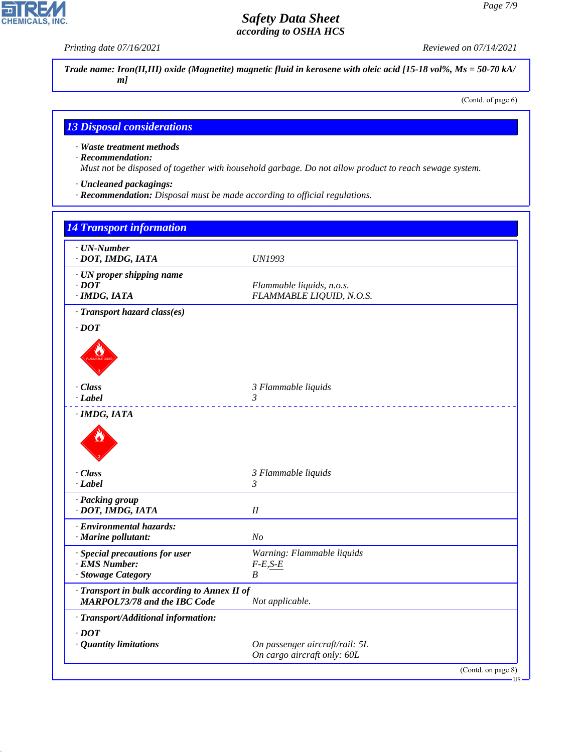P

**CHEMICALS, INC.** 

*Printing date 07/16/2021 Reviewed on 07/14/2021*

*Trade name: Iron(II,III) oxide (Magnetite) magnetic fluid in kerosene with oleic acid [15-18 vol%, Ms = 50-70 kA/ m]*

(Contd. of page 6)

# *13 Disposal considerations*

*· Waste treatment methods*

*· Recommendation:*

44.1.1

*Must not be disposed of together with household garbage. Do not allow product to reach sewage system.*

- *· Uncleaned packagings:*
- *· Recommendation: Disposal must be made according to official regulations.*

| <b>14 Transport information</b>                                                     |                                                               |
|-------------------------------------------------------------------------------------|---------------------------------------------------------------|
| · UN-Number<br>· DOT, IMDG, IATA                                                    | <b>UN1993</b>                                                 |
| · UN proper shipping name<br>$\cdot$ DOT<br>$·$ <i>IMDG, IATA</i>                   | Flammable liquids, n.o.s.<br>FLAMMABLE LIQUID, N.O.S.         |
| · Transport hazard class(es)<br>$\cdot$ DOT                                         |                                                               |
| · Class<br>· Label                                                                  | 3 Flammable liquids<br>3<br><u>a a a a a a a a a</u>          |
| · IMDG, IATA<br>$\cdot$ Class                                                       | 3 Flammable liquids                                           |
| · Label<br>· Packing group<br>· DOT, IMDG, IATA                                     | $\mathfrak{Z}$<br>$I\!I$                                      |
| · Environmental hazards:<br>· Marine pollutant:                                     | N <sub>O</sub>                                                |
| · Special precautions for user<br>· EMS Number:<br>· Stowage Category               | Warning: Flammable liquids<br>$F-E, S-E$<br>$\boldsymbol{B}$  |
| · Transport in bulk according to Annex II of<br><b>MARPOL73/78 and the IBC Code</b> | Not applicable.                                               |
| · Transport/Additional information:                                                 |                                                               |
| $\cdot$ DOT<br>· Quantity limitations                                               | On passenger aircraft/rail: 5L<br>On cargo aircraft only: 60L |
|                                                                                     | (Contd. on page 8)                                            |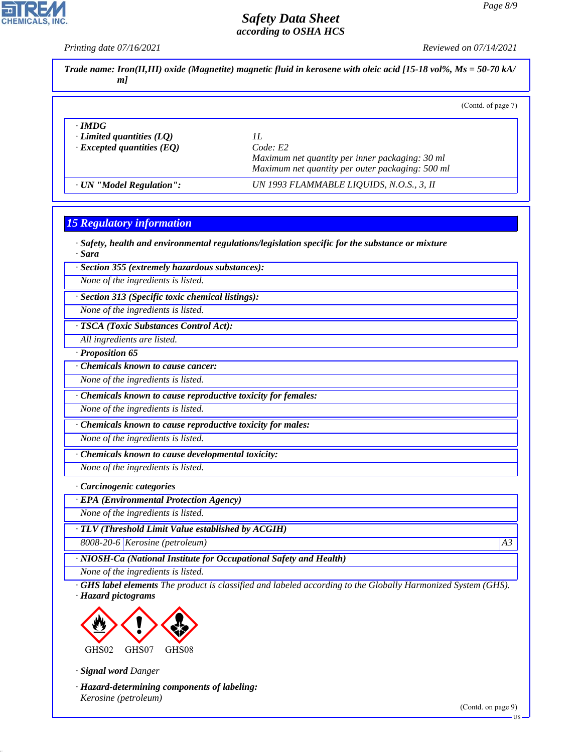# CHEMICALS, INC.

# *Safety Data Sheet according to OSHA HCS*

|                                                                  | (Contd. of page 7)                                                                                     |
|------------------------------------------------------------------|--------------------------------------------------------------------------------------------------------|
| $\cdot$ IMDG                                                     |                                                                                                        |
| $\cdot$ Limited quantities (LQ)                                  | 1L                                                                                                     |
| $\cdot$ Excepted quantities (EQ)                                 | Code: E2<br>Maximum net quantity per inner packaging: 30 ml                                            |
|                                                                  | Maximum net quantity per outer packaging: 500 ml                                                       |
| · UN "Model Regulation":                                         | UN 1993 FLAMMABLE LIQUIDS, N.O.S., 3, II                                                               |
| <b>15 Regulatory information</b>                                 |                                                                                                        |
|                                                                  |                                                                                                        |
| · Sara                                                           | $\cdot$ Safety, health and environmental regulations/legislation specific for the substance or mixture |
| · Section 355 (extremely hazardous substances):                  |                                                                                                        |
| None of the ingredients is listed.                               |                                                                                                        |
| · Section 313 (Specific toxic chemical listings):                |                                                                                                        |
| None of the ingredients is listed.                               |                                                                                                        |
| · TSCA (Toxic Substances Control Act):                           |                                                                                                        |
| All ingredients are listed.                                      |                                                                                                        |
| $\cdot$ Proposition 65                                           |                                                                                                        |
| Chemicals known to cause cancer:                                 |                                                                                                        |
| None of the ingredients is listed.                               |                                                                                                        |
| · Chemicals known to cause reproductive toxicity for females:    |                                                                                                        |
| None of the ingredients is listed.                               |                                                                                                        |
| · Chemicals known to cause reproductive toxicity for males:      |                                                                                                        |
| None of the ingredients is listed.                               |                                                                                                        |
| Chemicals known to cause developmental toxicity:                 |                                                                                                        |
| None of the ingredients is listed.                               |                                                                                                        |
| · Carcinogenic categories                                        |                                                                                                        |
| <b>EPA</b> (Environmental Protection Agency)                     |                                                                                                        |
| None of the ingredients is listed.                               |                                                                                                        |
| · TLV (Threshold Limit Value established by ACGIH)               |                                                                                                        |
| 8008-20-6 Kerosine (petroleum)                                   | A3                                                                                                     |
| NIOSH-Ca (National Institute for Occupational Safety and Health) |                                                                                                        |
| None of the ingredients is listed.                               |                                                                                                        |



*· Signal word Danger*

44.1.1

*· Hazard-determining components of labeling: Kerosine (petroleum)*

(Contd. on page 9)

US